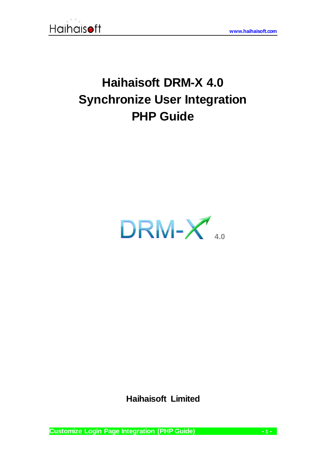

## **Haihaisoft DRM-X 4.0 Synchronize User Integration PHP Guide**



**Haihaisoft Limited**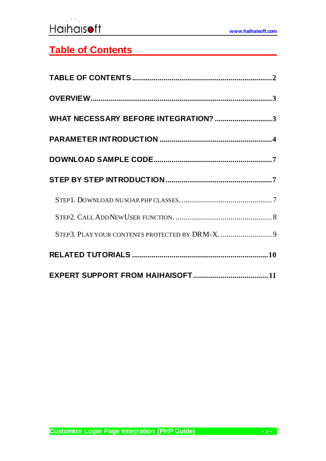## <span id="page-1-0"></span>**Table of Contents**

| WHAT NECESSARY BEFORE INTEGRATION? 3            |
|-------------------------------------------------|
|                                                 |
|                                                 |
|                                                 |
|                                                 |
|                                                 |
| STEP3. PLAY YOUR CONTENTS PROTECTED BY DRM-X. 9 |
|                                                 |
|                                                 |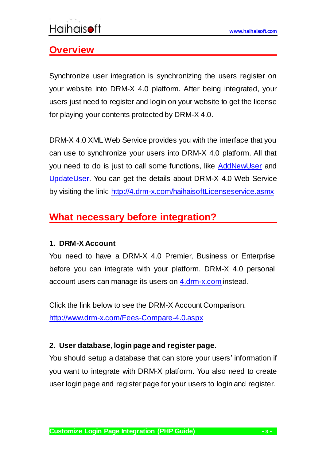### <span id="page-2-0"></span>**Overview**

Synchronize user integration is synchronizing the users register on your website into DRM-X 4.0 platform. After being integrated, your users just need to register and login on your website to get the license for playing your contents protected by DRM-X 4.0.

DRM-X 4.0 XML Web Service provides you with the interface that you can use to synchronize your users into DRM-X 4.0 platform. All that you need to do is just to call some functions, like [AddNewUser](http://4.drm-x.com/haihaisoftLicenseservice.asmx?op=AddNewUser) and [UpdateUser.](http://4.drm-x.com/haihaisoftLicenseservice.asmx?op=UpdateUser) You can get the details about DRM-X 4.0 Web Service by visiting the link: <http://4.drm-x.com/haihaisoftLicenseservice.asmx>

## <span id="page-2-1"></span>**What necessary before integration?**

#### **1. DRM-X Account**

You need to have a DRM-X 4.0 Premier, Business or Enterprise before you can integrate with your platform. DRM-X 4.0 personal account users can manage its users on [4.drm-x.com](http://4.drm-x.com/) instead.

Click the link below to see the DRM-X Account Comparison. <http://www.drm-x.com/Fees-Compare-4.0.aspx>

#### **2. User database, login page and register page.**

You should setup a database that can store your users' information if you want to integrate with DRM-X platform. You also need to create user login page and register page for your users to login and register.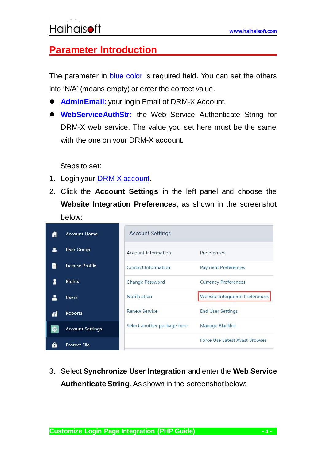### <span id="page-3-0"></span>**Parameter Introduction**

The parameter in blue color is required field. You can set the others into 'N/A' (means empty) or enter the correct value.

- **AdminEmail:** your login Email of DRM-X Account.
- **WebServiceAuthStr:** the Web Service Authenticate String for DRM-X web service. The value you set here must be the same with the one on your DRM-X account.

Steps to set:

- 1. Login your [DRM-X account.](http://4.drm-x.com/login.aspx)
- 2. Click the **Account Settings** in the left panel and choose the **Website Integration Preferences**, as shown in the screenshot below:



3. Select **Synchronize User Integration** and enter the **Web Service Authenticate String**. As shown in the screenshot below: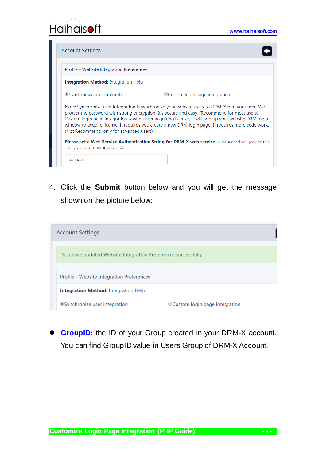| Profile - Website Integration Preferences   |                                                                                                                                                                                                                                                                                                                                                                                                                |
|---------------------------------------------|----------------------------------------------------------------------------------------------------------------------------------------------------------------------------------------------------------------------------------------------------------------------------------------------------------------------------------------------------------------------------------------------------------------|
| <b>Integration Method:</b> Integration Help |                                                                                                                                                                                                                                                                                                                                                                                                                |
| ● Synchronize user integration              | OCustom login page integration                                                                                                                                                                                                                                                                                                                                                                                 |
| (Not Recommend, only for advanced users)    | Note: Synchronize user integration is synchronize your website users to DRM-X.com your user. We<br>protect the password with strong encryption. It's secure and easy. (Recommend for most users)<br>Custom login page integration is when user acquiring license, it will pop up your website DRM login<br>window to acquire license. It requires you create a new DRM login page. It requires more code work. |
|                                             | <b>Please set a Web Service Authentication String for DRM-X web service</b> (DRM-X need you provide this                                                                                                                                                                                                                                                                                                       |

4. Click the **Submit** button below and you will get the message shown on the picture below:

| <b>Account Settings</b>                                        |                                             |                                 |  |  |
|----------------------------------------------------------------|---------------------------------------------|---------------------------------|--|--|
|                                                                |                                             |                                 |  |  |
| You have updated Website Integration Preferences successfully. |                                             |                                 |  |  |
|                                                                |                                             |                                 |  |  |
| Profile - Website Integration Preferences                      |                                             |                                 |  |  |
|                                                                | <b>Integration Method:</b> Integration Help |                                 |  |  |
|                                                                | ◎Synchronize user integration               | ○ Custom login page integration |  |  |

**GroupID:** the ID of your Group created in your DRM-X account. You can find GroupID value in Users Group of DRM-X Account.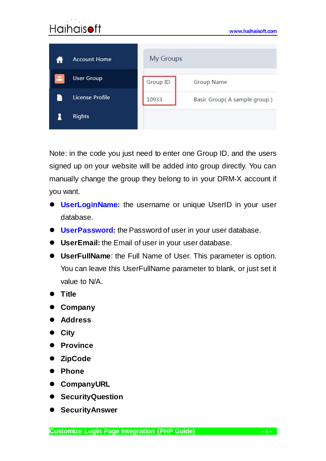| <b>Account Home</b>    | <b>My Groups</b> |                             |  |
|------------------------|------------------|-----------------------------|--|
| <b>User Group</b>      | Group ID         | Group Name                  |  |
| <b>License Profile</b> | 10933            | Basic Group(A sample group) |  |
| <b>Rights</b>          |                  |                             |  |

Note: in the code you just need to enter one Group ID, and the users signed up on your website will be added into group directly. You can manually change the group they belong to in your DRM-X account if you want.

- **UserLoginName:** the username or unique UserID in your user database.
- **UserPassword:** the Password of user in your user database.
- **UserEmail:** the Email of user in your user database.
- **UserFullName**: the Full Name of User. This parameter is option. You can leave this UserFullName parameter to blank, or just set it value to N/A.
- **Title**
- **Company**
- **Address**
- **City**
- **Province**
- **ZipCode**
- **Phone**
- **CompanyURL**
- **•** SecurityQuestion
- **SecurityAnswer**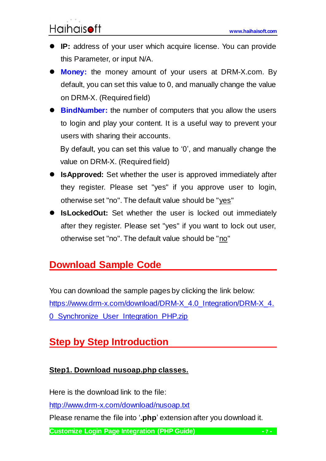- **IP:** address of your user which acquire license. You can provide this Parameter, or input N/A.
- **Money:** the money amount of your users at DRM-X.com. By default, you can set this value to 0, and manually change the value on DRM-X. (Required field)
- **BindNumber:** the number of computers that you allow the users to login and play your content. It is a useful way to prevent your users with sharing their accounts.

By default, you can set this value to '0', and manually change the value on DRM-X. (Required field)

- **IsApproved:** Set whether the user is approved immediately after they register. Please set "yes" if you approve user to login, otherwise set "no". The default value should be "yes"
- **IsLockedOut:** Set whether the user is locked out immediately after they register. Please set "yes" if you want to lock out user, otherwise set "no". The default value should be "no"

## <span id="page-6-0"></span>**Download Sample Code**

You can download the sample pages by clicking the link below: [https://www.drm-x.com/download/DRM-X\\_4.0\\_Integration/DRM-X\\_4.](https://www.drm-x.com/download/DRM-X_4.0_Integration/DRM-X_4.0_Synchronize_User_Integration_PHP.zip) [0\\_Synchronize\\_User\\_Integration\\_PHP.zip](https://www.drm-x.com/download/DRM-X_4.0_Integration/DRM-X_4.0_Synchronize_User_Integration_PHP.zip)

## <span id="page-6-1"></span>**Step by Step Introduction**

#### <span id="page-6-2"></span>**Step1. Download nusoap.php classes.**

Here is the download link to the file:

<http://www.drm-x.com/download/nusoap.txt>

Please rename the file into '**.php**' extension after you download it.

**Customize Login Page Integration (PHP Guide) - 7 -**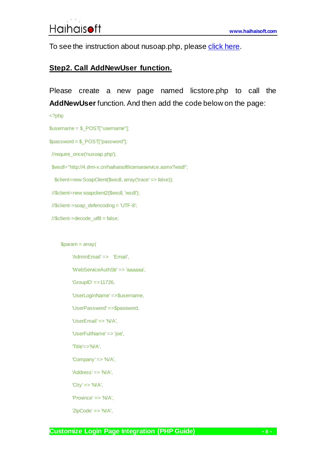<span id="page-7-0"></span>To see the instruction about nusoap.php, please [click here.](http://www.scottnichol.com/nusoapprogwsdl.htm)

#### **Step2. Call AddNewUser function.**

Please create a new page named licstore.php to call the **AddNewUser** function. And then add the code below on the page:

<?php

\$username = \$\_POST["username"];

\$password = \$\_POST["password"];

//require\_once('nusoap.php');

\$wsdl="http://4.drm-x.cn/haihaisoftlicenseservice.asmx?wsdl";

\$client=new SoapClient(\$wsdl, array('trace' => false));

//\$client=new soapclient2(\$wsdl, 'wsdl');

//\$client->soap\_defencoding = 'UTF-8';

//\$client->decode\_utf8 = false;

#### \$param = array(

'AdminEmail' => 'Email', 'WebServiceAuthStr' => 'aaaaaa', 'GroupID' =>11726, 'UserLoginName' =>\$username, 'UserPassword' =>\$password, 'UserEmail' => 'N/A', 'UserFullName' => 'joe', 'Title'=>'N/A', 'Company' => 'N/A', 'Address' => 'N/A', 'City' => 'N/A', 'Province' => 'N/A', 'ZipCode' => 'N/A',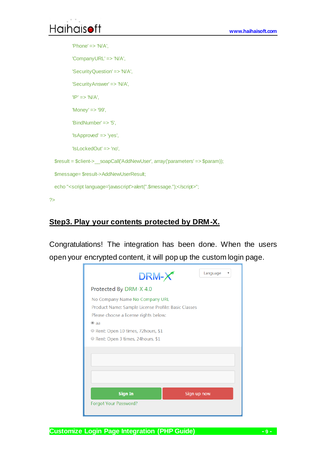<span id="page-8-0"></span>?>

' $Phone' => 'N/A'.$ 'CompanyURL' => 'N/A', 'SecurityQuestion' => 'N/A', 'SecurityAnswer' => 'N/A',  $'IP' => 'N/A'.$ 'Money' => '99', 'BindNumber' => '5', 'IsApproved' => 'yes', 'IsLockedOut' => 'no', \$result = \$client->\_\_soapCall('AddNewUser', array('parameters' => \$param)); \$message= \$result->AddNewUserResult; echo "<script language='javascript'>alert(".\$message.");</script>";

#### **Step3. Play your contents protected by DRM-X.**

Congratulations! The integration has been done. When the users open your encrypted content, it will pop up the custom login page.

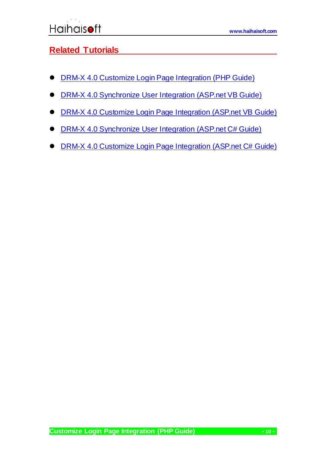#### <span id="page-9-0"></span>**Related Tutorials**

- [DRM-X 4.0 Customize Login Page Integration](https://www.drm-x.com/download/DRM-X_4.0_Integration/DRM-X_4.0_Custom_Login_Page_Integration_PHP.zip) (PHP Guide)
- [DRM-X 4.0 Synchronize User Integration](https://www.drm-x.com/download/DRM-X_4.0_Integration/DRM-X_4.0_Synchronize_User_Integration_VB.pdf) (ASP.net VB Guide)
- [DRM-X 4.0 Customize Login Page Integration](https://www.drm-x.com/download/DRM-X_4.0_Integration/DRM-X_4.0_Custom_Login_Page_Integration_VB.pdf) (ASP.net VB Guide)
- **[DRM-X 4.0 Synchronize User Integration](https://www.drm-x.com/download/DRM-X_4.0_Integration/DRM-X_4.0_Synchronize_User_Integration_C.pdf) (ASP.net C# Guide)**
- [DRM-X 4.0 Customize Login Page Integration](https://www.drm-x.com/download/DRM-X_4.0_Integration/DRM-X_4.0_Custom_Login_Page_Integration_C.pdf) (ASP.net C# Guide)